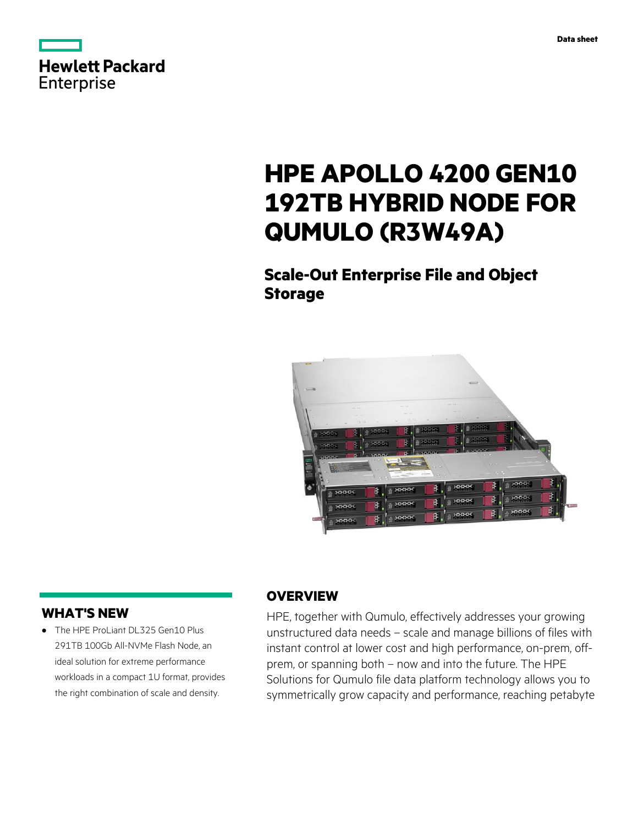

# **HPE APOLLO 4200 GEN10 192TB HYBRID NODE FOR QUMULO (R3W49A)**

**Scale-Out Enterprise File and Object Storage**



## **WHAT'S NEW**

**·** The HPE ProLiant DL325 Gen10 Plus 291TB 100Gb All-NVMe Flash Node, an ideal solution for extreme performance workloads in a compact 1U format, provides the right combination of scale and density.

## **OVERVIEW**

HPE, together with Qumulo, effectively addresses your growing unstructured data needs – scale and manage billions of files with instant control at lower cost and high performance, on-prem, offprem, or spanning both – now and into the future. The HPE Solutions for Qumulo file data platform technology allows you to symmetrically grow capacity and performance, reaching petabyte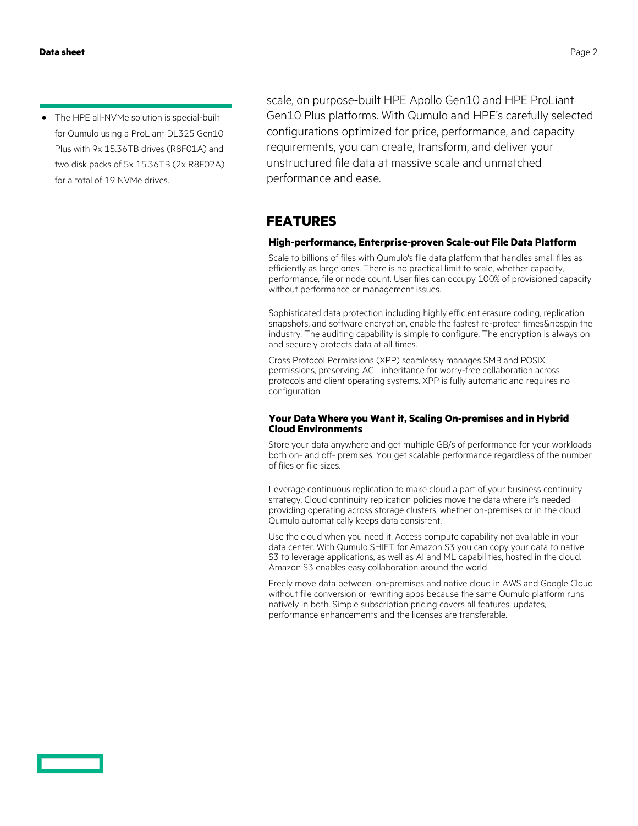**·** The HPE all-NVMe solution is special-built for Qumulo using a ProLiant DL325 Gen10 Plus with 9x 15.36TB drives (R8F01A) and two disk packs of 5x 15.36TB (2x R8F02A) for a total of 19 NVMe drives.

scale, on purpose-built HPE Apollo Gen10 and HPE ProLiant Gen10 Plus platforms. With Qumulo and HPE's carefully selected configurations optimized for price, performance, and capacity requirements, you can create, transform, and deliver your unstructured file data at massive scale and unmatched performance and ease.

### **FEATURES**

#### **High-performance, Enterprise-proven Scale-out File Data Platform**

Scale to billions of files with Qumulo's file data platform that handles small files as efficiently as large ones. There is no practical limit to scale, whether capacity, performance, file or node count. User files can occupy 100% of provisioned capacity without performance or management issues.

Sophisticated data protection including highly efficient erasure coding, replication, snapshots, and software encryption, enable the fastest re-protect times & nbsp; in the industry. The auditing capability is simple to configure. The encryption is always on and securely protects data at all times.

Cross Protocol Permissions (XPP) seamlessly manages SMB and POSIX permissions, preserving ACL inheritance for worry-free collaboration across protocols and client operating systems. XPP is fully automatic and requires no configuration.

#### **Your Data Where you Want it, Scaling On-premises and in Hybrid Cloud Environments**

Store your data anywhere and get multiple GB/s of performance for your workloads both on- and off- premises. You get scalable performance regardless of the number of files or file sizes.

Leverage continuous replication to make cloud a part of your business continuity strategy. Cloud continuity replication policies move the data where it's needed providing operating across storage clusters, whether on-premises or in the cloud. Qumulo automatically keeps data consistent.

Use the cloud when you need it. Access compute capability not available in your data center. With Qumulo SHIFT for Amazon S3 you can copy your data to native S3 to leverage applications, as well as AI and ML capabilities, hosted in the cloud. Amazon S3 enables easy collaboration around the world

Freely move data between on-premises and native cloud in AWS and Google Cloud without file conversion or rewriting apps because the same Qumulo platform runs natively in both. Simple subscription pricing covers all features, updates, performance enhancements and the licenses are transferable.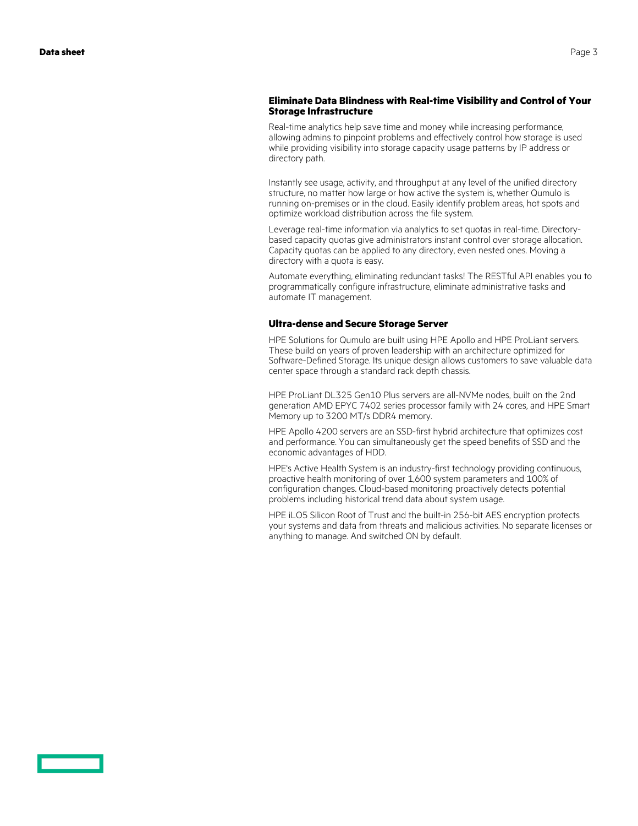#### **Eliminate Data Blindness with Real-time Visibility and Control of Your Storage Infrastructure**

Real-time analytics help save time and money while increasing performance, allowing admins to pinpoint problems and effectively control how storage is used while providing visibility into storage capacity usage patterns by IP address or directory path.

Instantly see usage, activity, and throughput at any level of the unified directory structure, no matter how large or how active the system is, whether Qumulo is running on-premises or in the cloud. Easily identify problem areas, hot spots and optimize workload distribution across the file system.

Leverage real-time information via analytics to set quotas in real-time. Directorybased capacity quotas give administrators instant control over storage allocation. Capacity quotas can be applied to any directory, even nested ones. Moving a directory with a quota is easy.

Automate everything, eliminating redundant tasks! The RESTful API enables you to programmatically configure infrastructure, eliminate administrative tasks and automate IT management.

#### **Ultra-dense and Secure Storage Server**

HPE Solutions for Qumulo are built using HPE Apollo and HPE ProLiant servers. These build on years of proven leadership with an architecture optimized for Software-Defined Storage. Its unique design allows customers to save valuable data center space through a standard rack depth chassis.

HPE ProLiant DL325 Gen10 Plus servers are all-NVMe nodes, built on the 2nd generation AMD EPYC 7402 series processor family with 24 cores, and HPE Smart Memory up to 3200 MT/s DDR4 memory.

HPE Apollo 4200 servers are an SSD-first hybrid architecture that optimizes cost and performance. You can simultaneously get the speed benefits of SSD and the economic advantages of HDD.

HPE's Active Health System is an industry-first technology providing continuous, proactive health monitoring of over 1,600 system parameters and 100% of configuration changes. Cloud-based monitoring proactively detects potential problems including historical trend data about system usage.

HPE iLO5 Silicon Root of Trust and the built-in 256-bit AES encryption protects your systems and data from threats and malicious activities. No separate licenses or anything to manage. And switched ON by default.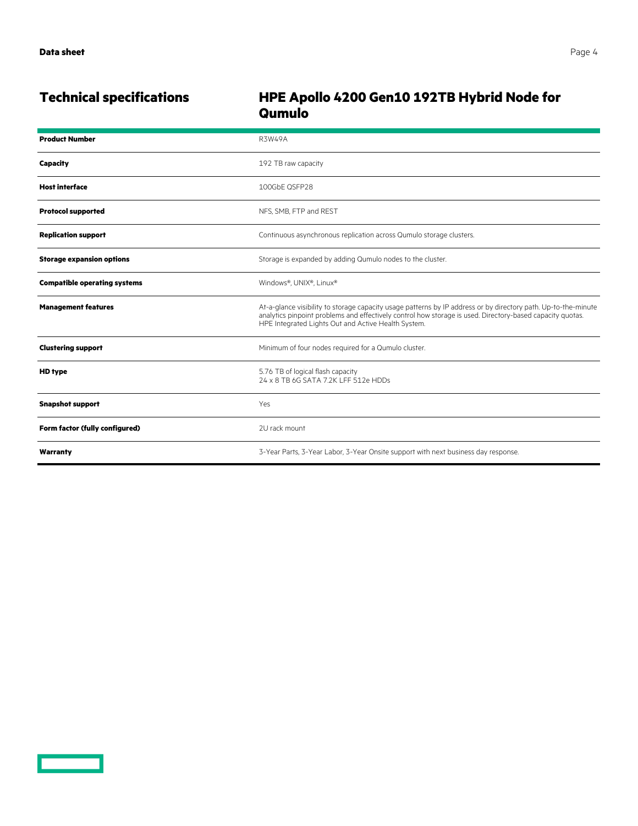<u>and the second part of the second part of the second part of the second part of the second part of the second part of the second part of the second part of the second part of the second part of the second part of the seco</u>

## **Technical specifications HPE Apollo 4200 Gen10 192TB Hybrid Node for Qumulo**

| <b>Product Number</b>               | <b>R3W49A</b>                                                                                                                                                                                                                                                                      |
|-------------------------------------|------------------------------------------------------------------------------------------------------------------------------------------------------------------------------------------------------------------------------------------------------------------------------------|
| <b>Capacity</b>                     | 192 TB raw capacity                                                                                                                                                                                                                                                                |
| <b>Host interface</b>               | 100GbE QSFP28                                                                                                                                                                                                                                                                      |
| <b>Protocol supported</b>           | NFS, SMB, FTP and REST                                                                                                                                                                                                                                                             |
| <b>Replication support</b>          | Continuous asynchronous replication across Qumulo storage clusters.                                                                                                                                                                                                                |
| <b>Storage expansion options</b>    | Storage is expanded by adding Qumulo nodes to the cluster.                                                                                                                                                                                                                         |
| <b>Compatible operating systems</b> | Windows®, UNIX®, Linux®                                                                                                                                                                                                                                                            |
| <b>Management features</b>          | At-a-glance visibility to storage capacity usage patterns by IP address or by directory path. Up-to-the-minute<br>analytics pinpoint problems and effectively control how storage is used. Directory-based capacity quotas.<br>HPE Integrated Lights Out and Active Health System. |
| <b>Clustering support</b>           | Minimum of four nodes required for a Qumulo cluster.                                                                                                                                                                                                                               |
| <b>HD</b> type                      | 5.76 TB of logical flash capacity<br>24 x 8 TB 6G SATA 7.2K LFF 512e HDDs                                                                                                                                                                                                          |
| <b>Snapshot support</b>             | Yes                                                                                                                                                                                                                                                                                |
| Form factor (fully configured)      | 2U rack mount                                                                                                                                                                                                                                                                      |
| Warranty                            | 3-Year Parts, 3-Year Labor, 3-Year Onsite support with next business day response.                                                                                                                                                                                                 |